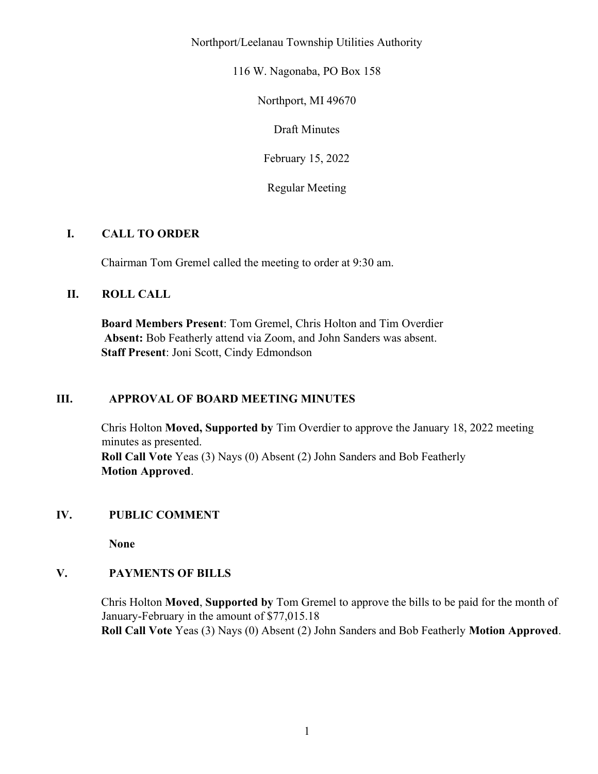Northport/Leelanau Township Utilities Authority

116 W. Nagonaba, PO Box 158

Northport, MI 49670

Draft Minutes

February 15, 2022

Regular Meeting

# I. CALL TO ORDER

Chairman Tom Gremel called the meeting to order at 9:30 am.

# II. ROLL CALL

Board Members Present: Tom Gremel, Chris Holton and Tim Overdier Absent: Bob Featherly attend via Zoom, and John Sanders was absent. Staff Present: Joni Scott, Cindy Edmondson

# III. APPROVAL OF BOARD MEETING MINUTES

Chris Holton Moved, Supported by Tim Overdier to approve the January 18, 2022 meeting minutes as presented. Roll Call Vote Yeas (3) Nays (0) Absent (2) John Sanders and Bob Featherly Motion Approved.

# IV. PUBLIC COMMENT

None

# V. PAYMENTS OF BILLS

Chris Holton Moved, Supported by Tom Gremel to approve the bills to be paid for the month of January-February in the amount of \$77,015.18 Roll Call Vote Yeas (3) Nays (0) Absent (2) John Sanders and Bob Featherly Motion Approved.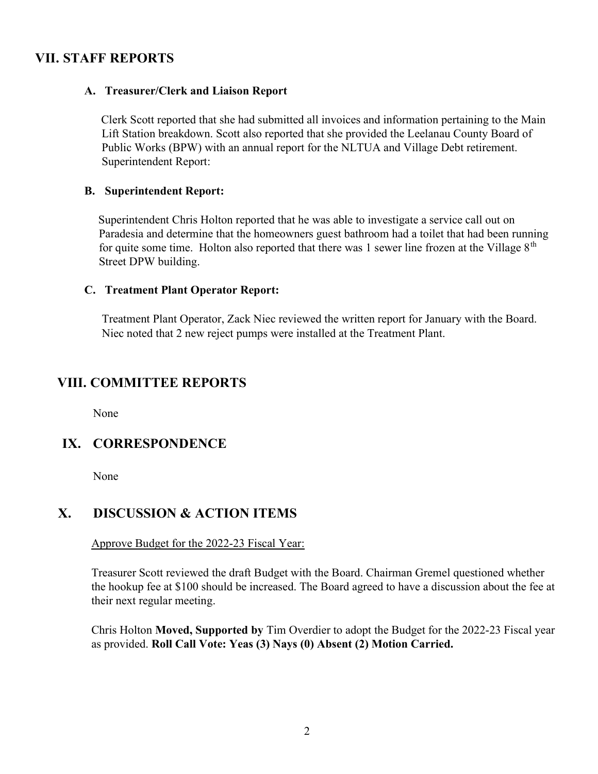# VII. STAFF REPORTS

# A. Treasurer/Clerk and Liaison Report

Clerk Scott reported that she had submitted all invoices and information pertaining to the Main Lift Station breakdown. Scott also reported that she provided the Leelanau County Board of Public Works (BPW) with an annual report for the NLTUA and Village Debt retirement. Superintendent Report:

#### B. Superintendent Report:

Superintendent Chris Holton reported that he was able to investigate a service call out on Paradesia and determine that the homeowners guest bathroom had a toilet that had been running for quite some time. Holton also reported that there was 1 sewer line frozen at the Village  $8<sup>th</sup>$ Street DPW building.

#### C. Treatment Plant Operator Report:

Treatment Plant Operator, Zack Niec reviewed the written report for January with the Board. Niec noted that 2 new reject pumps were installed at the Treatment Plant.

# VIII. COMMITTEE REPORTS

None

# IX. CORRESPONDENCE

None

# X. DISCUSSION & ACTION ITEMS

Approve Budget for the 2022-23 Fiscal Year:

Treasurer Scott reviewed the draft Budget with the Board. Chairman Gremel questioned whether the hookup fee at \$100 should be increased. The Board agreed to have a discussion about the fee at their next regular meeting.

Chris Holton Moved, Supported by Tim Overdier to adopt the Budget for the 2022-23 Fiscal year as provided. Roll Call Vote: Yeas (3) Nays (0) Absent (2) Motion Carried.